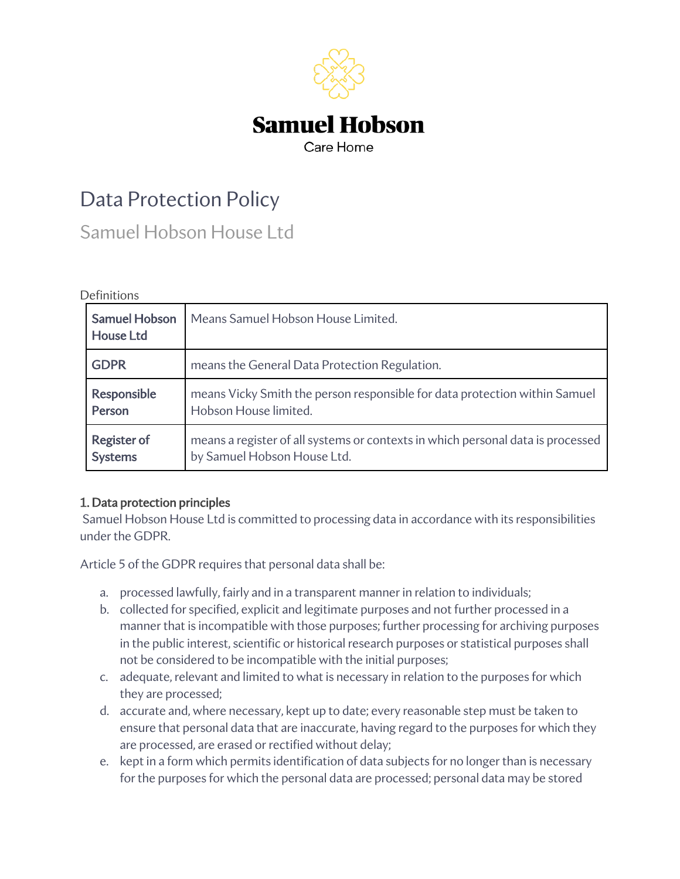

# Data Protection Policy

Samuel Hobson House Ltd

#### Definitions

| <b>Samuel Hobson</b><br><b>House Ltd</b> | Means Samuel Hobson House Limited.                                              |
|------------------------------------------|---------------------------------------------------------------------------------|
| <b>GDPR</b>                              | means the General Data Protection Regulation.                                   |
| Responsible                              | means Vicky Smith the person responsible for data protection within Samuel      |
| Person                                   | Hobson House limited.                                                           |
| Register of                              | means a register of all systems or contexts in which personal data is processed |
| <b>Systems</b>                           | by Samuel Hobson House Ltd.                                                     |

## 1. Data protection principles

Samuel Hobson House Ltd is committed to processing data in accordance with its responsibilities under the GDPR.

Article 5 of the GDPR requires that personal data shall be:

- a. processed lawfully, fairly and in a transparent manner in relation to individuals;
- b. collected for specified, explicit and legitimate purposes and not further processed in a manner that is incompatible with those purposes; further processing for archiving purposes in the public interest, scientific or historical research purposes or statistical purposes shall not be considered to be incompatible with the initial purposes;
- c. adequate, relevant and limited to what is necessary in relation to the purposes for which they are processed;
- d. accurate and, where necessary, kept up to date; every reasonable step must be taken to ensure that personal data that are inaccurate, having regard to the purposes for which they are processed, are erased or rectified without delay;
- e. kept in a form which permits identification of data subjects for no longer than is necessary for the purposes for which the personal data are processed; personal data may be stored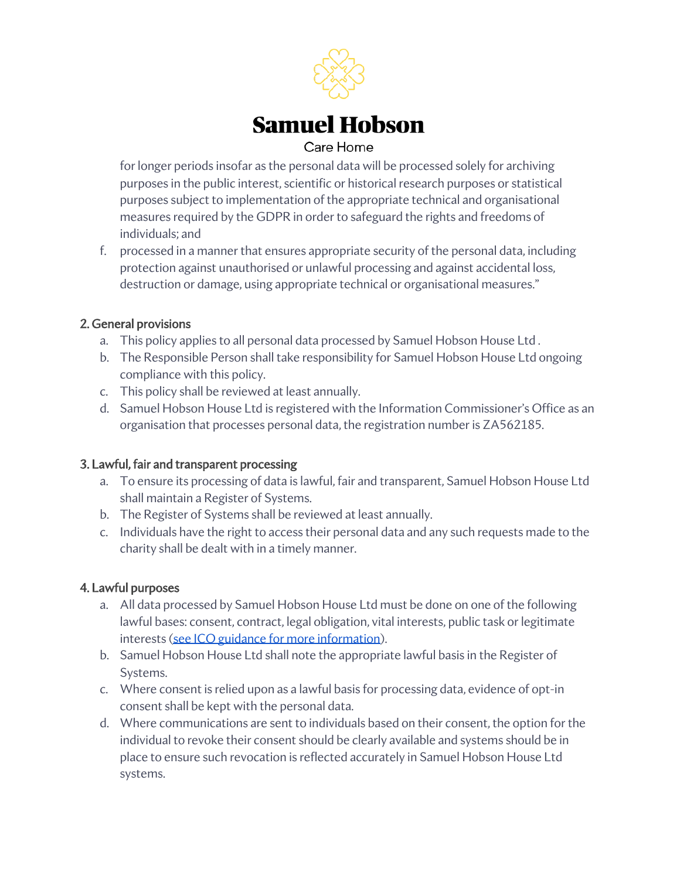

for longer periods insofar as the personal data will be processed solely for archiving purposes in the public interest, scientific or historical research purposes or statistical purposes subject to implementation of the appropriate technical and organisational measures required by the GDPR in order to safeguard the rights and freedoms of individuals; and

f. processed in a manner that ensures appropriate security of the personal data, including protection against unauthorised or unlawful processing and against accidental loss, destruction or damage, using appropriate technical or organisational measures."

#### 2. General provisions

- a. This policy applies to all personal data processed by Samuel Hobson House Ltd .
- b. The Responsible Person shall take responsibility for Samuel Hobson House Ltd ongoing compliance with this policy.
- c. This policy shall be reviewed at least annually.
- d. Samuel Hobson House Ltd is registered with the Information Commissioner's Office as an organisation that processes personal data, the registration number is ZA562185.

## 3. Lawful, fair and transparent processing

- a. To ensure its processing of data is lawful, fair and transparent, Samuel Hobson House Ltd shall maintain a Register of Systems.
- b. The Register of Systems shall be reviewed at least annually.
- c. Individuals have the right to access their personal data and any such requests made to the charity shall be dealt with in a timely manner.

## 4. Lawful purposes

- a. All data processed by Samuel Hobson House Ltd must be done on one of the following lawful bases: consent, contract, legal obligation, vital interests, public task or legitimate interests (see ICO guidance for more information).
- b. Samuel Hobson House Ltd shall note the appropriate lawful basis in the Register of Systems.
- c. Where consent is relied upon as a lawful basis for processing data, evidence of opt-in consent shall be kept with the personal data.
- d. Where communications are sent to individuals based on their consent, the option for the individual to revoke their consent should be clearly available and systems should be in place to ensure such revocation is reflected accurately in Samuel Hobson House Ltd systems.